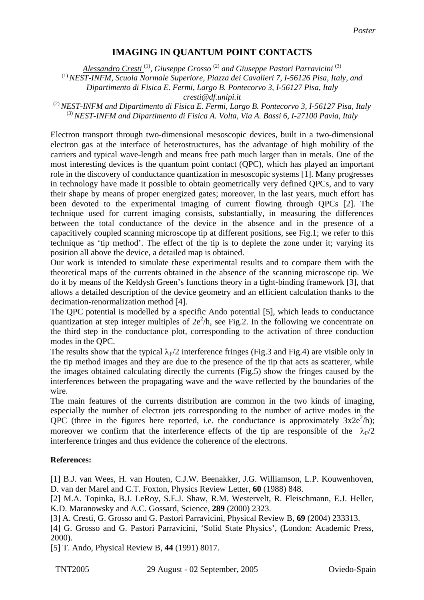## **IMAGING IN QUANTUM POINT CONTACTS**

*Alessandro Cresti* (1)*, Giuseppe Grosso* (2) *and Giuseppe Pastori Parravicini* (3)

(1) *NEST-INFM, Scuola Normale Superiore, Piazza dei Cavalieri 7, I-56126 Pisa, Italy, and* 

*Dipartimento di Fisica E. Fermi, Largo B. Pontecorvo 3, I-56127 Pisa, Italy* 

*cresti@df.unipi.it* 

(2) *NEST-INFM and Dipartimento di Fisica E. Fermi, Largo B. Pontecorvo 3, I-56127 Pisa, Italy*  (3) *NEST-INFM and Dipartimento di Fisica A. Volta, Via A. Bassi 6, I-27100 Pavia, Italy* 

Electron transport through two-dimensional mesoscopic devices, built in a two-dimensional electron gas at the interface of heterostructures, has the advantage of high mobility of the carriers and typical wave-length and means free path much larger than in metals. One of the most interesting devices is the quantum point contact (QPC), which has played an important role in the discovery of conductance quantization in mesoscopic systems [1]. Many progresses in technology have made it possible to obtain geometrically very defined QPCs, and to vary their shape by means of proper energized gates; moreover, in the last years, much effort has been devoted to the experimental imaging of current flowing through QPCs [2]. The technique used for current imaging consists, substantially, in measuring the differences between the total conductance of the device in the absence and in the presence of a capacitively coupled scanning microscope tip at different positions, see Fig.1; we refer to this technique as 'tip method'. The effect of the tip is to deplete the zone under it; varying its position all above the device, a detailed map is obtained.

Our work is intended to simulate these experimental results and to compare them with the theoretical maps of the currents obtained in the absence of the scanning microscope tip. We do it by means of the Keldysh Green's functions theory in a tight-binding framework [3], that allows a detailed description of the device geometry and an efficient calculation thanks to the decimation-renormalization method [4].

The QPC potential is modelled by a specific Ando potential [5], which leads to conductance quantization at step integer multiples of  $2e^{2}/h$ , see Fig.2. In the following we concentrate on the third step in the conductance plot, corresponding to the activation of three conduction modes in the QPC.

The results show that the typical  $\lambda_F/2$  interference fringes (Fig.3 and Fig.4) are visible only in the tip method images and they are due to the presence of the tip that acts as scatterer, while the images obtained calculating directly the currents (Fig.5) show the fringes caused by the interferences between the propagating wave and the wave reflected by the boundaries of the wire.

The main features of the currents distribution are common in the two kinds of imaging, especially the number of electron jets corresponding to the number of active modes in the QPC (three in the figures here reported, i.e. the conductance is approximately  $3x2e^2/h$ ); moreover we confirm that the interference effects of the tip are responsible of the  $\lambda_F/2$ interference fringes and thus evidence the coherence of the electrons.

## **References:**

[1] B.J. van Wees, H. van Houten, C.J.W. Beenakker, J.G. Williamson, L.P. Kouwenhoven, D. van der Marel and C.T. Foxton, Physics Review Letter, **60** (1988) 848.

[2] M.A. Topinka, B.J. LeRoy, S.E.J. Shaw, R.M. Westervelt, R. Fleischmann, E.J. Heller, K.D. Maranowsky and A.C. Gossard, Science, **289** (2000) 2323.

[3] A. Cresti, G. Grosso and G. Pastori Parravicini, Physical Review B, **69** (2004) 233313.

[4] G. Grosso and G. Pastori Parravicini, 'Solid State Physics', (London: Academic Press, 2000).

[5] T. Ando, Physical Review B, **44** (1991) 8017.